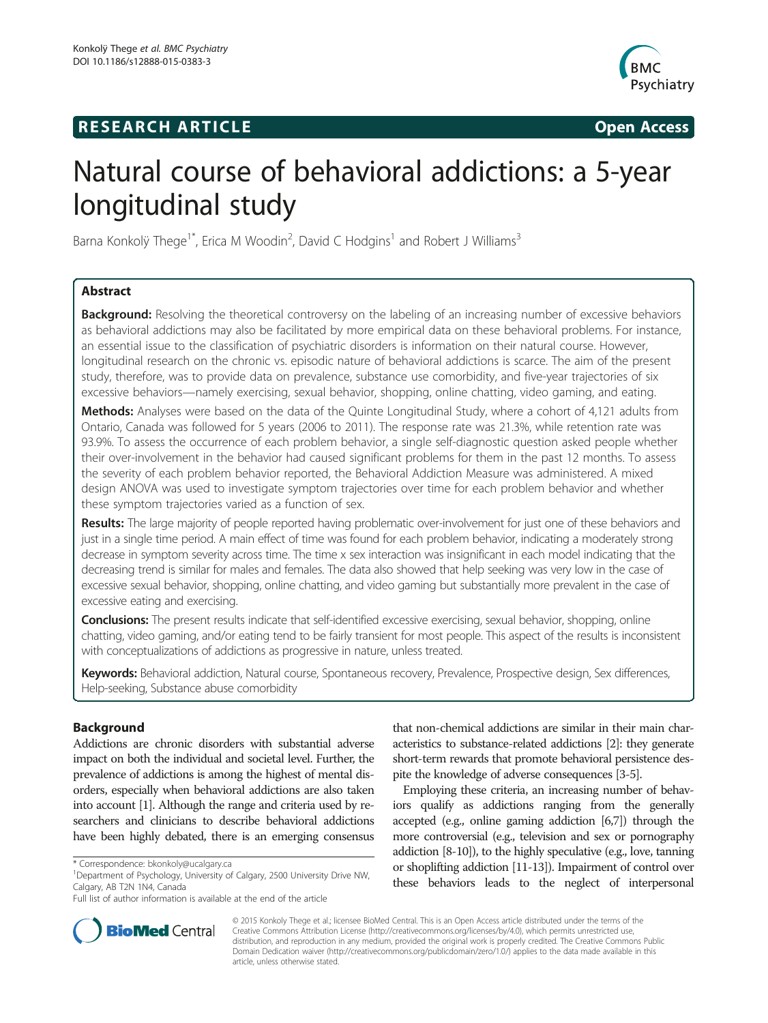## **RESEARCH ARTICLE Example 2014 The SEAR CH ACCESS**



# Natural course of behavioral addictions: a 5-year longitudinal study

Barna Konkolÿ Thege<sup>1\*</sup>, Erica M Woodin<sup>2</sup>, David C Hodgins<sup>1</sup> and Robert J Williams<sup>3</sup>

## Abstract

Background: Resolving the theoretical controversy on the labeling of an increasing number of excessive behaviors as behavioral addictions may also be facilitated by more empirical data on these behavioral problems. For instance, an essential issue to the classification of psychiatric disorders is information on their natural course. However, longitudinal research on the chronic vs. episodic nature of behavioral addictions is scarce. The aim of the present study, therefore, was to provide data on prevalence, substance use comorbidity, and five-year trajectories of six excessive behaviors—namely exercising, sexual behavior, shopping, online chatting, video gaming, and eating.

Methods: Analyses were based on the data of the Quinte Longitudinal Study, where a cohort of 4,121 adults from Ontario, Canada was followed for 5 years (2006 to 2011). The response rate was 21.3%, while retention rate was 93.9%. To assess the occurrence of each problem behavior, a single self-diagnostic question asked people whether their over-involvement in the behavior had caused significant problems for them in the past 12 months. To assess the severity of each problem behavior reported, the Behavioral Addiction Measure was administered. A mixed design ANOVA was used to investigate symptom trajectories over time for each problem behavior and whether these symptom trajectories varied as a function of sex.

Results: The large majority of people reported having problematic over-involvement for just one of these behaviors and just in a single time period. A main effect of time was found for each problem behavior, indicating a moderately strong decrease in symptom severity across time. The time x sex interaction was insignificant in each model indicating that the decreasing trend is similar for males and females. The data also showed that help seeking was very low in the case of excessive sexual behavior, shopping, online chatting, and video gaming but substantially more prevalent in the case of excessive eating and exercising.

Conclusions: The present results indicate that self-identified excessive exercising, sexual behavior, shopping, online chatting, video gaming, and/or eating tend to be fairly transient for most people. This aspect of the results is inconsistent with conceptualizations of addictions as progressive in nature, unless treated.

Keywords: Behavioral addiction, Natural course, Spontaneous recovery, Prevalence, Prospective design, Sex differences, Help-seeking, Substance abuse comorbidity

## Background

Addictions are chronic disorders with substantial adverse impact on both the individual and societal level. Further, the prevalence of addictions is among the highest of mental disorders, especially when behavioral addictions are also taken into account [1]. Although the range and criteria used by researchers and clinicians to describe behavioral addictions have been highly debated, there is an emerging consensus



Employing these criteria, an increasing number of behaviors qualify as addictions ranging from the generally accepted (e.g., online gaming addiction [6,7]) through the more controversial (e.g., television and sex or pornography addiction [8-10]), to the highly speculative (e.g., love, tanning or shoplifting addiction [11-13]). Impairment of control over these behaviors leads to the neglect of interpersonal



© 2015 Konkoly Thege et al.; licensee BioMed Central. This is an Open Access article distributed under the terms of the Creative Commons Attribution License (http://creativecommons.org/licenses/by/4.0), which permits unrestricted use, distribution, and reproduction in any medium, provided the original work is properly credited. The Creative Commons Public Domain Dedication waiver (http://creativecommons.org/publicdomain/zero/1.0/) applies to the data made available in this article, unless otherwise stated.

<sup>\*</sup> Correspondence: bkonkoly@ucalgary.ca <sup>1</sup>

<sup>&</sup>lt;sup>1</sup>Department of Psychology, University of Calgary, 2500 University Drive NW, Calgary, AB T2N 1N4, Canada

Full list of author information is available at the end of the article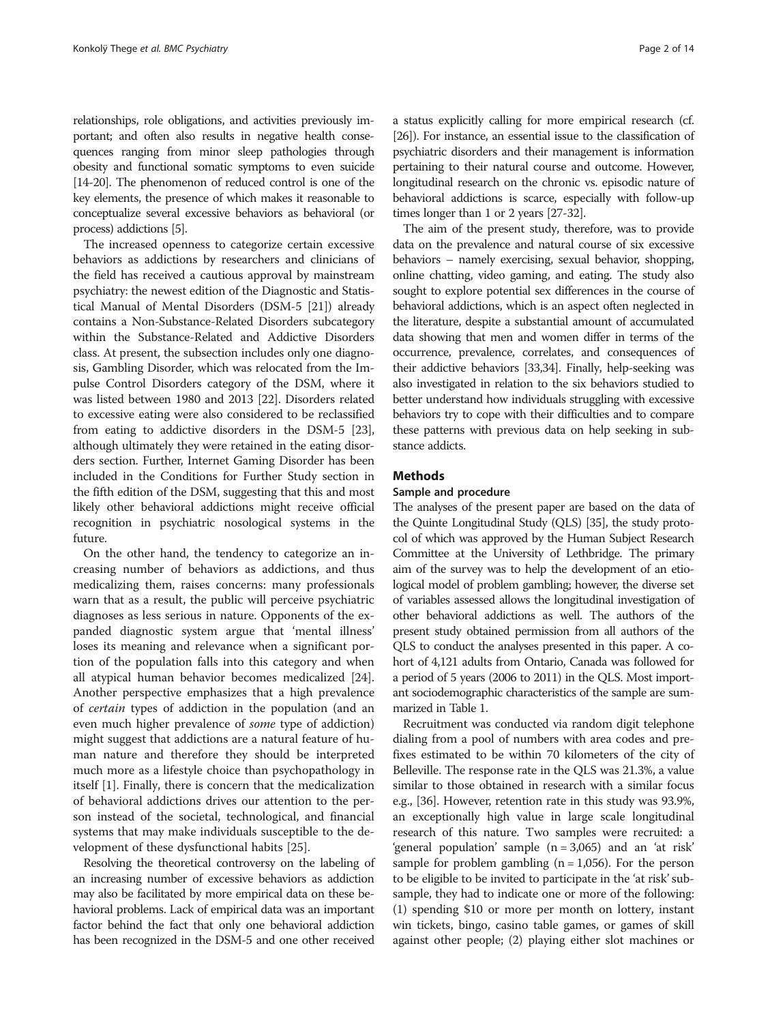relationships, role obligations, and activities previously important; and often also results in negative health consequences ranging from minor sleep pathologies through obesity and functional somatic symptoms to even suicide [14-20]. The phenomenon of reduced control is one of the key elements, the presence of which makes it reasonable to conceptualize several excessive behaviors as behavioral (or process) addictions [5].

The increased openness to categorize certain excessive behaviors as addictions by researchers and clinicians of the field has received a cautious approval by mainstream psychiatry: the newest edition of the Diagnostic and Statistical Manual of Mental Disorders (DSM-5 [21]) already contains a Non-Substance-Related Disorders subcategory within the Substance-Related and Addictive Disorders class. At present, the subsection includes only one diagnosis, Gambling Disorder, which was relocated from the Impulse Control Disorders category of the DSM, where it was listed between 1980 and 2013 [22]. Disorders related to excessive eating were also considered to be reclassified from eating to addictive disorders in the DSM-5 [23], although ultimately they were retained in the eating disorders section. Further, Internet Gaming Disorder has been included in the Conditions for Further Study section in the fifth edition of the DSM, suggesting that this and most likely other behavioral addictions might receive official recognition in psychiatric nosological systems in the future.

On the other hand, the tendency to categorize an increasing number of behaviors as addictions, and thus medicalizing them, raises concerns: many professionals warn that as a result, the public will perceive psychiatric diagnoses as less serious in nature. Opponents of the expanded diagnostic system argue that 'mental illness' loses its meaning and relevance when a significant portion of the population falls into this category and when all atypical human behavior becomes medicalized [24]. Another perspective emphasizes that a high prevalence of certain types of addiction in the population (and an even much higher prevalence of some type of addiction) might suggest that addictions are a natural feature of human nature and therefore they should be interpreted much more as a lifestyle choice than psychopathology in itself [1]. Finally, there is concern that the medicalization of behavioral addictions drives our attention to the person instead of the societal, technological, and financial systems that may make individuals susceptible to the development of these dysfunctional habits [25].

Resolving the theoretical controversy on the labeling of an increasing number of excessive behaviors as addiction may also be facilitated by more empirical data on these behavioral problems. Lack of empirical data was an important factor behind the fact that only one behavioral addiction has been recognized in the DSM-5 and one other received a status explicitly calling for more empirical research (cf. [26]). For instance, an essential issue to the classification of psychiatric disorders and their management is information pertaining to their natural course and outcome. However, longitudinal research on the chronic vs. episodic nature of behavioral addictions is scarce, especially with follow-up times longer than 1 or 2 years [27-32].

The aim of the present study, therefore, was to provide data on the prevalence and natural course of six excessive behaviors – namely exercising, sexual behavior, shopping, online chatting, video gaming, and eating. The study also sought to explore potential sex differences in the course of behavioral addictions, which is an aspect often neglected in the literature, despite a substantial amount of accumulated data showing that men and women differ in terms of the occurrence, prevalence, correlates, and consequences of their addictive behaviors [33,34]. Finally, help-seeking was also investigated in relation to the six behaviors studied to better understand how individuals struggling with excessive behaviors try to cope with their difficulties and to compare these patterns with previous data on help seeking in substance addicts.

## **Methods**

## Sample and procedure

The analyses of the present paper are based on the data of the Quinte Longitudinal Study (QLS) [35], the study protocol of which was approved by the Human Subject Research Committee at the University of Lethbridge. The primary aim of the survey was to help the development of an etiological model of problem gambling; however, the diverse set of variables assessed allows the longitudinal investigation of other behavioral addictions as well. The authors of the present study obtained permission from all authors of the QLS to conduct the analyses presented in this paper. A cohort of 4,121 adults from Ontario, Canada was followed for a period of 5 years (2006 to 2011) in the QLS. Most important sociodemographic characteristics of the sample are summarized in Table 1.

Recruitment was conducted via random digit telephone dialing from a pool of numbers with area codes and prefixes estimated to be within 70 kilometers of the city of Belleville. The response rate in the QLS was 21.3%, a value similar to those obtained in research with a similar focus e.g., [36]. However, retention rate in this study was 93.9%, an exceptionally high value in large scale longitudinal research of this nature. Two samples were recruited: a 'general population' sample (n = 3,065) and an 'at risk' sample for problem gambling  $(n = 1,056)$ . For the person to be eligible to be invited to participate in the 'at risk'subsample, they had to indicate one or more of the following: (1) spending \$10 or more per month on lottery, instant win tickets, bingo, casino table games, or games of skill against other people; (2) playing either slot machines or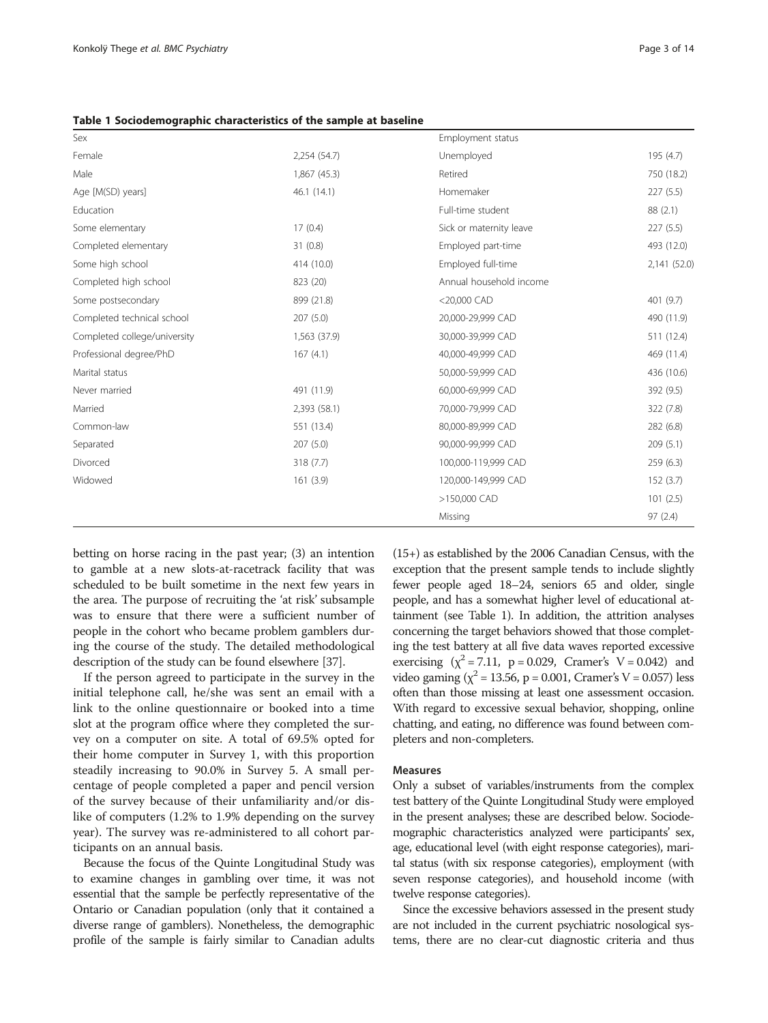| Sex                          |              | Employment status       |              |
|------------------------------|--------------|-------------------------|--------------|
| Female                       | 2,254 (54.7) | Unemployed              | 195 (4.7)    |
| Male                         | 1,867 (45.3) | Retired                 | 750 (18.2)   |
| Age [M(SD) years]            | 46.1(14.1)   | Homemaker               | 227(5.5)     |
| Education                    |              | Full-time student       | 88(2.1)      |
| Some elementary              | 17(0.4)      | Sick or maternity leave | 227(5.5)     |
| Completed elementary         | 31(0.8)      | Employed part-time      | 493 (12.0)   |
| Some high school             | 414 (10.0)   | Employed full-time      | 2,141 (52.0) |
| Completed high school        | 823 (20)     | Annual household income |              |
| Some postsecondary           | 899 (21.8)   | $<$ 20,000 CAD          | 401 (9.7)    |
| Completed technical school   | 207(5.0)     | 20,000-29,999 CAD       | 490 (11.9)   |
| Completed college/university | 1,563 (37.9) | 30,000-39,999 CAD       | 511 (12.4)   |
| Professional degree/PhD      | 167(4.1)     | 40,000-49,999 CAD       | 469 (11.4)   |
| Marital status               |              | 50,000-59,999 CAD       | 436 (10.6)   |
| Never married                | 491 (11.9)   | 60,000-69,999 CAD       | 392 (9.5)    |
| Married                      | 2,393 (58.1) | 70,000-79,999 CAD       | 322 (7.8)    |
| Common-law                   | 551 (13.4)   | 80,000-89,999 CAD       | 282 (6.8)    |
| Separated                    | 207(5.0)     | 90,000-99,999 CAD       | 209(5.1)     |
| Divorced                     | 318 (7.7)    | 100,000-119,999 CAD     | 259(6.3)     |
| Widowed                      | 161(3.9)     | 120,000-149,999 CAD     | 152(3.7)     |
|                              |              | >150,000 CAD            | 101(2.5)     |
|                              |              | Missing                 | 97(2.4)      |

Table 1 Sociodemographic characteristics of the sample at baseline

betting on horse racing in the past year; (3) an intention to gamble at a new slots-at-racetrack facility that was scheduled to be built sometime in the next few years in the area. The purpose of recruiting the 'at risk' subsample was to ensure that there were a sufficient number of people in the cohort who became problem gamblers during the course of the study. The detailed methodological description of the study can be found elsewhere [37].

If the person agreed to participate in the survey in the initial telephone call, he/she was sent an email with a link to the online questionnaire or booked into a time slot at the program office where they completed the survey on a computer on site. A total of 69.5% opted for their home computer in Survey 1, with this proportion steadily increasing to 90.0% in Survey 5. A small percentage of people completed a paper and pencil version of the survey because of their unfamiliarity and/or dislike of computers (1.2% to 1.9% depending on the survey year). The survey was re-administered to all cohort participants on an annual basis.

Because the focus of the Quinte Longitudinal Study was to examine changes in gambling over time, it was not essential that the sample be perfectly representative of the Ontario or Canadian population (only that it contained a diverse range of gamblers). Nonetheless, the demographic profile of the sample is fairly similar to Canadian adults (15+) as established by the 2006 Canadian Census, with the exception that the present sample tends to include slightly fewer people aged 18–24, seniors 65 and older, single people, and has a somewhat higher level of educational attainment (see Table 1). In addition, the attrition analyses concerning the target behaviors showed that those completing the test battery at all five data waves reported excessive exercising  $(x^2 = 7.11, p = 0.029, Cramer's V = 0.042)$  and video gaming ( $\chi^2$  = 13.56, p = 0.001, Cramer's V = 0.057) less often than those missing at least one assessment occasion. With regard to excessive sexual behavior, shopping, online chatting, and eating, no difference was found between completers and non-completers.

#### Measures

Only a subset of variables/instruments from the complex test battery of the Quinte Longitudinal Study were employed in the present analyses; these are described below. Sociodemographic characteristics analyzed were participants' sex, age, educational level (with eight response categories), marital status (with six response categories), employment (with seven response categories), and household income (with twelve response categories).

Since the excessive behaviors assessed in the present study are not included in the current psychiatric nosological systems, there are no clear-cut diagnostic criteria and thus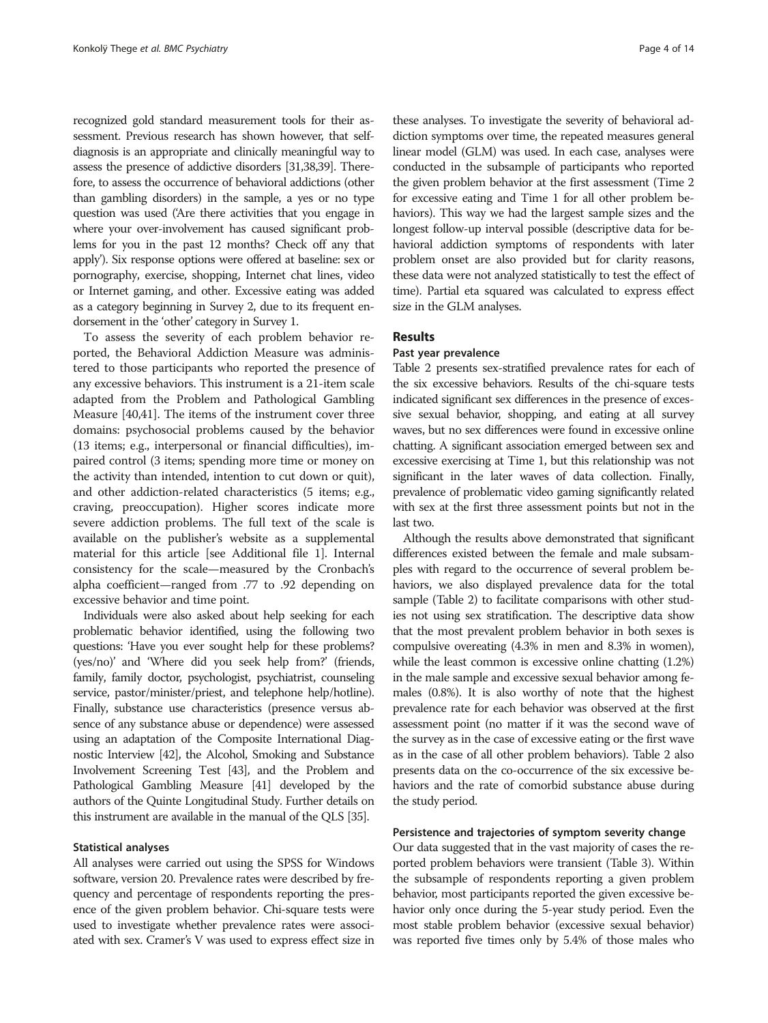recognized gold standard measurement tools for their assessment. Previous research has shown however, that selfdiagnosis is an appropriate and clinically meaningful way to assess the presence of addictive disorders [31,38,39]. Therefore, to assess the occurrence of behavioral addictions (other than gambling disorders) in the sample, a yes or no type question was used ('Are there activities that you engage in where your over-involvement has caused significant problems for you in the past 12 months? Check off any that apply'). Six response options were offered at baseline: sex or pornography, exercise, shopping, Internet chat lines, video or Internet gaming, and other. Excessive eating was added as a category beginning in Survey 2, due to its frequent endorsement in the 'other' category in Survey 1.

To assess the severity of each problem behavior reported, the Behavioral Addiction Measure was administered to those participants who reported the presence of any excessive behaviors. This instrument is a 21-item scale adapted from the Problem and Pathological Gambling Measure [40,41]. The items of the instrument cover three domains: psychosocial problems caused by the behavior (13 items; e.g., interpersonal or financial difficulties), impaired control (3 items; spending more time or money on the activity than intended, intention to cut down or quit), and other addiction-related characteristics (5 items; e.g., craving, preoccupation). Higher scores indicate more severe addiction problems. The full text of the scale is available on the publisher's website as a supplemental material for this article [see Additional file 1]. Internal consistency for the scale—measured by the Cronbach's alpha coefficient—ranged from .77 to .92 depending on excessive behavior and time point.

Individuals were also asked about help seeking for each problematic behavior identified, using the following two questions: 'Have you ever sought help for these problems? (yes/no)' and 'Where did you seek help from?' (friends, family, family doctor, psychologist, psychiatrist, counseling service, pastor/minister/priest, and telephone help/hotline). Finally, substance use characteristics (presence versus absence of any substance abuse or dependence) were assessed using an adaptation of the Composite International Diagnostic Interview [42], the Alcohol, Smoking and Substance Involvement Screening Test [43], and the Problem and Pathological Gambling Measure [41] developed by the authors of the Quinte Longitudinal Study. Further details on this instrument are available in the manual of the QLS [35].

#### Statistical analyses

All analyses were carried out using the SPSS for Windows software, version 20. Prevalence rates were described by frequency and percentage of respondents reporting the presence of the given problem behavior. Chi-square tests were used to investigate whether prevalence rates were associated with sex. Cramer's V was used to express effect size in

these analyses. To investigate the severity of behavioral addiction symptoms over time, the repeated measures general linear model (GLM) was used. In each case, analyses were conducted in the subsample of participants who reported the given problem behavior at the first assessment (Time 2 for excessive eating and Time 1 for all other problem behaviors). This way we had the largest sample sizes and the longest follow-up interval possible (descriptive data for behavioral addiction symptoms of respondents with later problem onset are also provided but for clarity reasons, these data were not analyzed statistically to test the effect of time). Partial eta squared was calculated to express effect size in the GLM analyses.

#### Results

## Past year prevalence

Table 2 presents sex-stratified prevalence rates for each of the six excessive behaviors. Results of the chi-square tests indicated significant sex differences in the presence of excessive sexual behavior, shopping, and eating at all survey waves, but no sex differences were found in excessive online chatting. A significant association emerged between sex and excessive exercising at Time 1, but this relationship was not significant in the later waves of data collection. Finally, prevalence of problematic video gaming significantly related with sex at the first three assessment points but not in the last two.

Although the results above demonstrated that significant differences existed between the female and male subsamples with regard to the occurrence of several problem behaviors, we also displayed prevalence data for the total sample (Table 2) to facilitate comparisons with other studies not using sex stratification. The descriptive data show that the most prevalent problem behavior in both sexes is compulsive overeating (4.3% in men and 8.3% in women), while the least common is excessive online chatting (1.2%) in the male sample and excessive sexual behavior among females (0.8%). It is also worthy of note that the highest prevalence rate for each behavior was observed at the first assessment point (no matter if it was the second wave of the survey as in the case of excessive eating or the first wave as in the case of all other problem behaviors). Table 2 also presents data on the co-occurrence of the six excessive behaviors and the rate of comorbid substance abuse during the study period.

## Persistence and trajectories of symptom severity change

Our data suggested that in the vast majority of cases the reported problem behaviors were transient (Table 3). Within the subsample of respondents reporting a given problem behavior, most participants reported the given excessive behavior only once during the 5-year study period. Even the most stable problem behavior (excessive sexual behavior) was reported five times only by 5.4% of those males who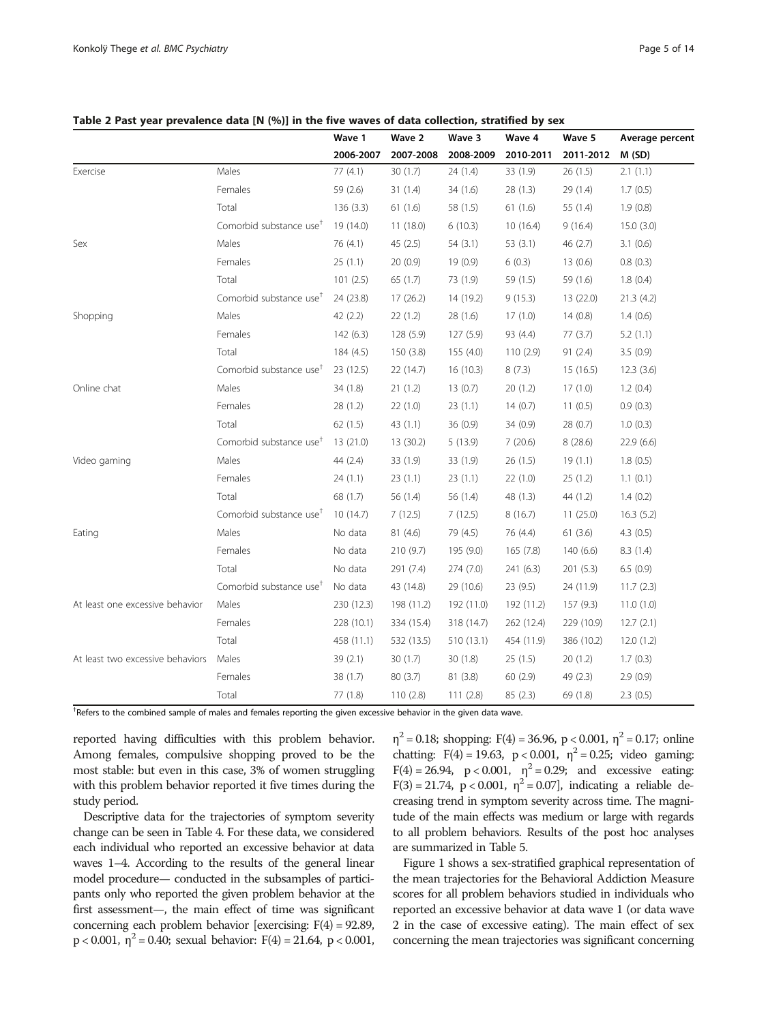|             |                                     | Wave 1    | Wave 2    | Wave 3    | Wave 4    | Wave 5    | Average percent |
|-------------|-------------------------------------|-----------|-----------|-----------|-----------|-----------|-----------------|
|             |                                     | 2006-2007 | 2007-2008 | 2008-2009 | 2010-2011 | 2011-2012 | M(SD)           |
| Exercise    | Males                               | 77 (4.1)  | 30(1.7)   | 24(1.4)   | 33(1.9)   | 26(1.5)   | 2.1(1.1)        |
|             | Females                             | 59 (2.6)  | 31(1.4)   | 34(1.6)   | 28(1.3)   | 29(1.4)   | 1.7(0.5)        |
|             | Total                               | 136(3.3)  | 61(1.6)   | 58 (1.5)  | 61(1.6)   | 55 (1.4)  | 1.9(0.8)        |
|             | Comorbid substance use <sup>t</sup> | 19 (14.0) | 11(18.0)  | 6(10.3)   | 10(16.4)  | 9(16.4)   | 15.0(3.0)       |
| Sex         | Males                               | 76 (4.1)  | 45(2.5)   | 54(3.1)   | 53(3.1)   | 46(2.7)   | 3.1(0.6)        |
|             | Females                             | 25(1.1)   | 20(0.9)   | 19(0.9)   | 6(0.3)    | 13(0.6)   | 0.8(0.3)        |
|             | Total                               | 101(2.5)  | 65(1.7)   | 73 (1.9)  | 59 (1.5)  | 59 (1.6)  | 1.8(0.4)        |
|             | Comorbid substance use <sup>†</sup> | 24 (23.8) | 17(26.2)  | 14 (19.2) | 9(15.3)   | 13 (22.0) | 21.3(4.2)       |
| Shopping    | Males                               | 42(2.2)   | 22(1.2)   | 28(1.6)   | 17(1.0)   | 14(0.8)   | 1.4(0.6)        |
|             | Females                             | 142(6.3)  | 128(5.9)  | 127(5.9)  | 93 (4.4)  | 77(3.7)   | 5.2(1.1)        |
|             | Total                               | 184 (4.5) | 150(3.8)  | 155(4.0)  | 110(2.9)  | 91(2.4)   | 3.5(0.9)        |
|             | Comorbid substance use <sup>+</sup> | 23(12.5)  | 22(14.7)  | 16(10.3)  | 8(7.3)    | 15(16.5)  | 12.3(3.6)       |
| Online chat | Males                               | 34(1.8)   | 21(1.2)   | 13(0.7)   | 20(1.2)   | 17(1.0)   | 1.2(0.4)        |

Video gaming Males 44 (2.4) 33 (1.9) 33 (1.9) 26 (1.5) 19 (1.1) 1.8 (0.5)

Eating Males No data 81 (4.6) 79 (4.5) 76 (4.4) 61 (3.6) 4.3 (0.5)

At least one excessive behavior Males 230 (12.3) 198 (11.2) 192 (11.0) 192 (11.2) 157 (9.3) 11.0 (1.0)

At least two excessive behaviors Males 39 (2.1) 30 (1.7) 30 (1.8) 25 (1.5) 20 (1.2) 1.7 (0.3)

Females 28 (1.2) 22 (1.0) 23 (1.1) 14 (0.7) 11 (0.5) 0.9 (0.3) Total 62 (1.5) 43 (1.1) 36 (0.9) 34 (0.9) 28 (0.7) 1.0 (0.3) Comorbid substance use† 13 (21.0) 13 (30.2) 5 (13.9) 7 (20.6) 8 (28.6) 22.9 (6.6)

Females 24 (1.1) 23 (1.1) 23 (1.1) 22 (1.0) 25 (1.2) 1.1 (0.1) Total 68 (1.7) 56 (1.4) 56 (1.4) 48 (1.3) 44 (1.2) 1.4 (0.2) Comorbid substance use† 10 (14.7) 7 (12.5) 7 (12.5) 8 (16.7) 11 (25.0) 16.3 (5.2)

Females No data 210 (9.7) 195 (9.0) 165 (7.8) 140 (6.6) 8.3 (1.4) Total No data 291 (7.4) 274 (7.0) 241 (6.3) 201 (5.3) 6.5 (0.9) Comorbid substance use<sup>†</sup> No data  $43(14.8)$   $29(10.6)$   $23(9.5)$   $24(11.9)$   $11.7(2.3)$ 

Females 228 (10.1) 334 (15.4) 318 (14.7) 262 (12.4) 229 (10.9) 12.7 (2.1) Total 458 (11.1) 532 (13.5) 510 (13.1) 454 (11.9) 386 (10.2) 12.0 (1.2)

Females 38 (1.7) 80 (3.7) 81 (3.8) 60 (2.9) 49 (2.3) 2.9 (0.9) Total 77 (1.8) 110 (2.8) 111 (2.8) 85 (2.3) 69 (1.8) 2.3 (0.5)

#### Table 2 Past year prevalence data [N (%)] in the five waves of data collection, stratified by sex

<sup>†</sup>Refers to the combined sample of males and females reporting the given excessive behavior in the given data wave.

reported having difficulties with this problem behavior. Among females, compulsive shopping proved to be the most stable: but even in this case, 3% of women struggling with this problem behavior reported it five times during the study period.

Descriptive data for the trajectories of symptom severity change can be seen in Table 4. For these data, we considered each individual who reported an excessive behavior at data waves 1–4. According to the results of the general linear model procedure— conducted in the subsamples of participants only who reported the given problem behavior at the first assessment—, the main effect of time was significant concerning each problem behavior [exercising:  $F(4) = 92.89$ ,  $p < 0.001$ ,  $\eta^2 = 0.40$ ; sexual behavior:  $F(4) = 21.64$ ,  $p < 0.001$ ,

 $\eta^2$  = 0.18; shopping: F(4) = 36.96, p < 0.001,  $\eta^2$  = 0.17; online chatting: F(4) = 19.63, p < 0.001,  $\eta^2$  = 0.25; video gaming:  $F(4) = 26.94$ ,  $p < 0.001$ ,  $\eta^2 = 0.29$ ; and excessive eating: F(3) = 21.74, p < 0.001,  $\eta^2$  = 0.07], indicating a reliable decreasing trend in symptom severity across time. The magnitude of the main effects was medium or large with regards to all problem behaviors. Results of the post hoc analyses are summarized in Table 5.

Figure 1 shows a sex-stratified graphical representation of the mean trajectories for the Behavioral Addiction Measure scores for all problem behaviors studied in individuals who reported an excessive behavior at data wave 1 (or data wave 2 in the case of excessive eating). The main effect of sex concerning the mean trajectories was significant concerning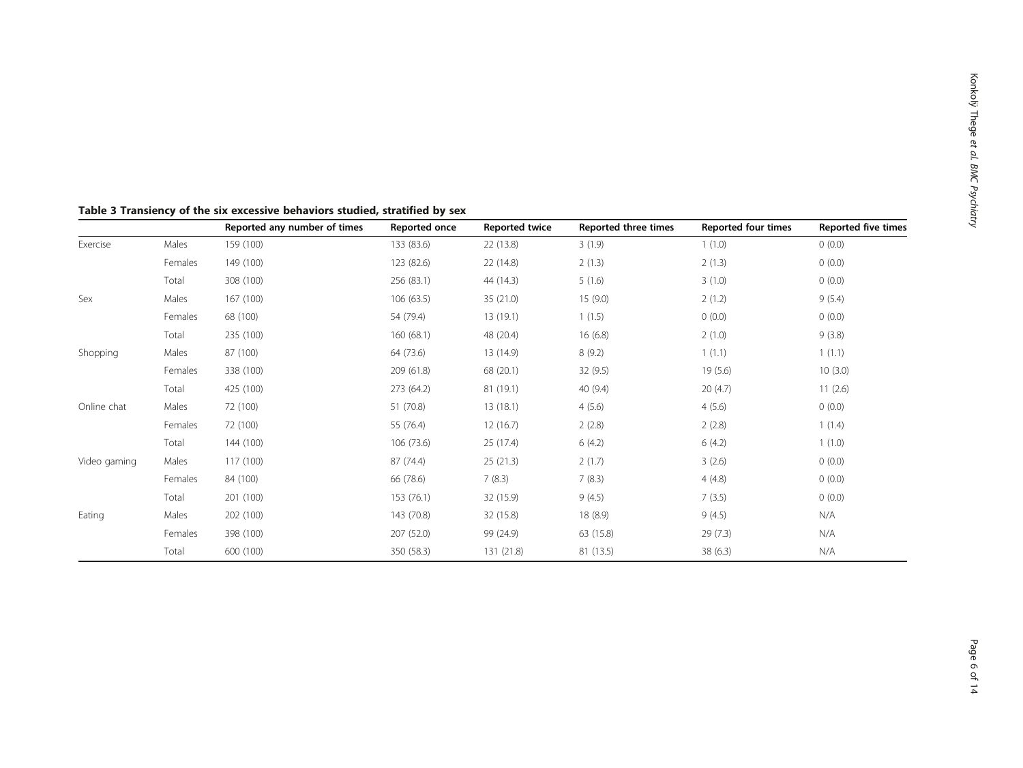|              |         | Reported any number of times | Reported once | <b>Reported twice</b> | Reported three times | <b>Reported four times</b> | <b>Reported five times</b> |
|--------------|---------|------------------------------|---------------|-----------------------|----------------------|----------------------------|----------------------------|
| Exercise     | Males   | 159 (100)                    | 133 (83.6)    | 22 (13.8)             | 3(1.9)               | 1(1.0)                     | 0(0.0)                     |
|              | Females | 149 (100)                    | 123 (82.6)    | 22 (14.8)             | 2(1.3)               | 2(1.3)                     | 0(0.0)                     |
|              | Total   | 308 (100)                    | 256 (83.1)    | 44 (14.3)             | 5(1.6)               | 3(1.0)                     | 0(0.0)                     |
| Sex          | Males   | 167 (100)                    | 106(63.5)     | 35 (21.0)             | 15(9.0)              | 2(1.2)                     | 9(5.4)                     |
|              | Females | 68 (100)                     | 54 (79.4)     | 13(19.1)              | 1(1.5)               | (0.0)                      | 0(0.0)                     |
|              | Total   | 235 (100)                    | 160(68.1)     | 48 (20.4)             | 16(6.8)              | 2(1.0)                     | 9(3.8)                     |
| Shopping     | Males   | 87 (100)                     | 64 (73.6)     | 13 (14.9)             | 8(9.2)               | 1(1.1)                     | 1(1.1)                     |
|              | Females | 338 (100)                    | 209 (61.8)    | 68 (20.1)             | 32(9.5)              | 19(5.6)                    | 10(3.0)                    |
|              | Total   | 425 (100)                    | 273 (64.2)    | 81 (19.1)             | 40(9.4)              | 20(4.7)                    | 11(2.6)                    |
| Online chat  | Males   | 72 (100)                     | 51 (70.8)     | 13(18.1)              | 4(5.6)               | 4(5.6)                     | 0(0.0)                     |
|              | Females | 72 (100)                     | 55 (76.4)     | 12(16.7)              | 2(2.8)               | 2(2.8)                     | 1(1.4)                     |
|              | Total   | 144 (100)                    | 106 (73.6)    | 25 (17.4)             | 6(4.2)               | 6(4.2)                     | 1(1.0)                     |
| Video gaming | Males   | 117 (100)                    | 87 (74.4)     | 25(21.3)              | 2(1.7)               | 3(2.6)                     | 0(0.0)                     |
|              | Females | 84 (100)                     | 66 (78.6)     | 7(8.3)                | 7(8.3)               | 4(4.8)                     | 0(0.0)                     |
|              | Total   | 201 (100)                    | 153 (76.1)    | 32 (15.9)             | 9(4.5)               | 7(3.5)                     | 0(0.0)                     |
| Eating       | Males   | 202 (100)                    | 143 (70.8)    | 32 (15.8)             | 18 (8.9)             | 9(4.5)                     | N/A                        |
|              | Females | 398 (100)                    | 207 (52.0)    | 99 (24.9)             | 63 (15.8)            | 29(7.3)                    | N/A                        |
|              | Total   | 600 (100)                    | 350 (58.3)    | 131 (21.8)            | 81 (13.5)            | 38(6.3)                    | N/A                        |

## Table 3 Transiency of the six excessive behaviors studied, stratified by sex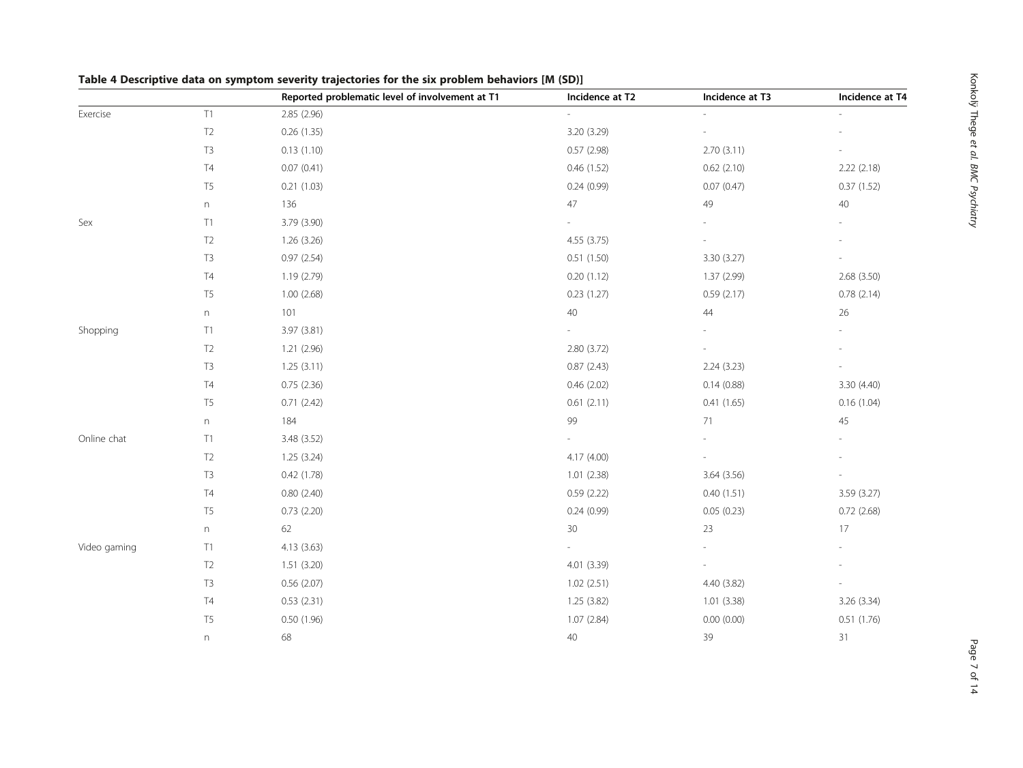|              |                           | Reported problematic level of involvement at T1 | Incidence at T2 | Incidence at T3 | Incidence at T4 |
|--------------|---------------------------|-------------------------------------------------|-----------------|-----------------|-----------------|
| Exercise     | T1                        | 2.85 (2.96)                                     | $\sim$          |                 |                 |
|              | T <sub>2</sub>            | 0.26(1.35)                                      | 3.20 (3.29)     |                 |                 |
|              | $\mathsf{T}3$             | 0.13(1.10)                                      | 0.57 (2.98)     | 2.70(3.11)      |                 |
|              | $\mathsf{T}4$             | 0.07(0.41)                                      | 0.46(1.52)      | 0.62(2.10)      | 2.22 (2.18)     |
|              | $\mathsf{T}5$             | 0.21(1.03)                                      | 0.24(0.99)      | 0.07(0.47)      | 0.37(1.52)      |
|              | n                         | 136                                             | 47              | 49              | $40\,$          |
| Sex          | T1                        | 3.79 (3.90)                                     |                 |                 |                 |
|              | $\mathsf{T2}$             | 1.26 (3.26)                                     | 4.55 (3.75)     |                 |                 |
|              | T3                        | 0.97(2.54)                                      | 0.51(1.50)      | 3.30 (3.27)     |                 |
|              | T4                        | 1.19 (2.79)                                     | 0.20(1.12)      | 1.37 (2.99)     | 2.68 (3.50)     |
|              | $\mathsf{T}5$             | 1.00(2.68)                                      | 0.23(1.27)      | 0.59(2.17)      | 0.78(2.14)      |
|              | $\boldsymbol{\mathsf{n}}$ | 101                                             | 40              | 44              | $26\,$          |
| Shopping     | T1                        | 3.97 (3.81)                                     |                 |                 |                 |
|              | $\mathsf{T2}$             | 1.21 (2.96)                                     | 2.80 (3.72)     |                 |                 |
|              | T3                        | 1.25(3.11)                                      | 0.87(2.43)      | 2.24 (3.23)     |                 |
|              | T4                        | 0.75(2.36)                                      | 0.46(2.02)      | 0.14(0.88)      | 3.30 (4.40)     |
|              | T <sub>5</sub>            | 0.71(2.42)                                      | 0.61(2.11)      | 0.41(1.65)      | 0.16(1.04)      |
|              | $\boldsymbol{\mathsf{n}}$ | 184                                             | 99              | 71              | 45              |
| Online chat  | T1                        | 3.48 (3.52)                                     |                 |                 |                 |
|              | $\mathsf{T2}$             | 1.25(3.24)                                      | 4.17 (4.00)     |                 |                 |
|              | T3                        | 0.42(1.78)                                      | 1.01(2.38)      | 3.64 (3.56)     |                 |
|              | $\mathsf{T}4$             | 0.80(2.40)                                      | 0.59(2.22)      | 0.40(1.51)      | 3.59 (3.27)     |
|              | T <sub>5</sub>            | 0.73(2.20)                                      | 0.24(0.99)      | 0.05(0.23)      | 0.72(2.68)      |
|              | n                         | 62                                              | 30              | 23              | 17              |
| Video gaming | T1                        | 4.13 (3.63)                                     |                 |                 |                 |
|              | T2                        | 1.51(3.20)                                      | 4.01 (3.39)     |                 |                 |
|              | T3                        | 0.56(2.07)                                      | 1.02(2.51)      | 4.40 (3.82)     |                 |
|              | T4                        | 0.53(2.31)                                      | 1.25 (3.82)     | 1.01 (3.38)     | 3.26 (3.34)     |
|              | $\mathsf{T}5$             | 0.50 (1.96)                                     | 1.07 (2.84)     | 0.00(0.00)      | 0.51(1.76)      |
|              | $\boldsymbol{\mathsf{n}}$ | 68                                              | 40              | 39              | 31              |

## Table 4 Descriptive data on symptom severity trajectories for the six problem behaviors [M (SD)]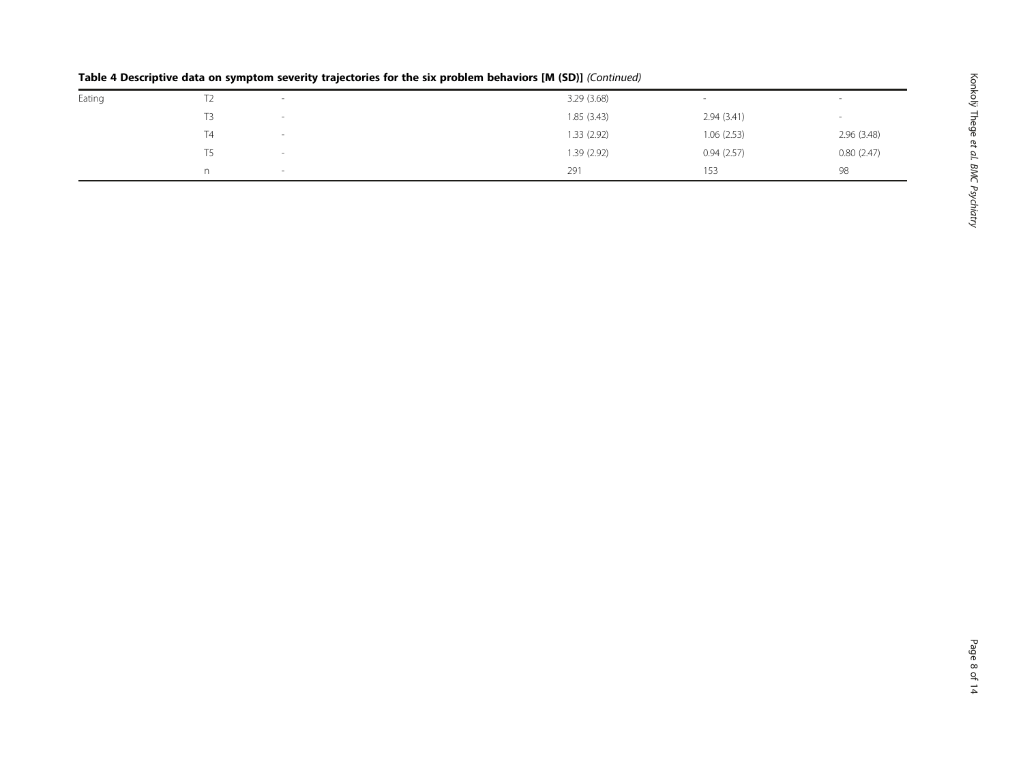|        | . .<br>. . | . .                      | $\sim$ $\sim$ $\sim$ $\sim$ |            |             |
|--------|------------|--------------------------|-----------------------------|------------|-------------|
| Eating | L          | $\sim$                   | 3.29(3.68)                  | -          | . .         |
|        | T3         | $\sim$                   | 1.85(3.43)                  | 2.94(3.41) | . .         |
|        | T4         | $\overline{\phantom{a}}$ | 1.33 (2.92)                 | 1.06(2.53) | 2.96 (3.48) |
|        | Т5         |                          | 1.39(2.92)                  | 0.94(2.57) | 0.80(2.47)  |
|        | n          | $\overline{\phantom{a}}$ | 291                         | 153        | 98          |
|        |            |                          |                             |            |             |

## Table 4 Descriptive data on symptom severity trajectories for the six problem behaviors [M (SD)] (Continued)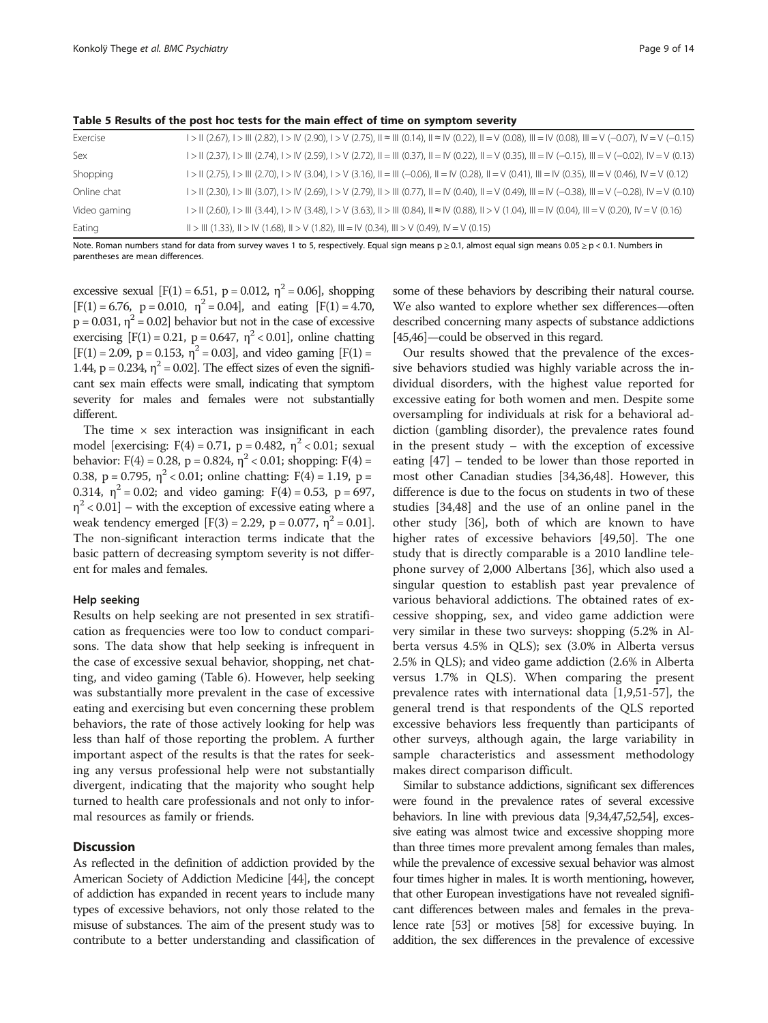| Exercise     | $1 >$ $\parallel$ (2.67), $1 >$ $\parallel$ (2.82), $1 >$ $\parallel$ (2.90), $1 >$ $\vee$ (2.75), $\parallel$ $\approx$ $\parallel$ (0.14), $\parallel$ $\approx$ $\parallel$ (0.22), $\parallel$ = $\vee$ (0.08), $\parallel$ = $\vee$ (0.08), $\parallel$ = $\vee$ (-0.07), $\vee$ = $\vee$ (-0.15) |
|--------------|--------------------------------------------------------------------------------------------------------------------------------------------------------------------------------------------------------------------------------------------------------------------------------------------------------|
| <b>Sex</b>   | $1 >$ $\parallel$ (2.37), $1 >$ $\parallel$ (2.74), $1 >$ $\parallel$ (2.59), $1 >$ $\vee$ (2.72), $\parallel$ = $\parallel$ (0.37), $\parallel$ = $\vee$ (0.22), $\parallel$ = $\vee$ (0.35), $\parallel$ = $\vee$ (-0.15), $\parallel$ = $\vee$ (-0.02), $\parallel$ $\vee$ $\vee$ (0.13)            |
| Shopping     | $I > II$ (2.75), $I > III$ (2.70), $I > IV$ (3.04), $I > V$ (3.16), $II = III$ (-0.06), $II = IV$ (0.28), $II = V$ (0.41), $III = IV$ (0.35), $III = V$ (0.46), $IV = V$ (0.12)                                                                                                                        |
| Online chat  | $1 > 0$ (2.30), $1 > 0$ (3.07), $1 > 0$ (2.69), $1 > 0$ (2.79), $0 > 0$ (1 $> 0.7$ ), $0 = 0$ (0.40), $0 = 0$ (0.49), $0 = 0$ (1.79), $0 = 0$ (1.79), $0 = 0$ (1.79)                                                                                                                                   |
| Video gaming | $I > II$ (2.60), $I > III$ (3.44), $I > IV$ (3.48), $I > V$ (3.63), $II > III$ (0.84), $II = IV$ (0.88), $II > V$ (1.04), $III = IV$ (0.04), $III = V$ (0.20), $IV = V$ (0.16)                                                                                                                         |
| Eating       | $   >   $ (1.33), $   >  V (1.68)$ , $   >  V (1.82)$ , $   =  V (0.34)$ , $   >  V (0.49)$ , $   =  V (0.15)$                                                                                                                                                                                         |

Table 5 Results of the post hoc tests for the main effect of time on symptom severity

Note. Roman numbers stand for data from survey waves 1 to 5, respectively. Equal sign means  $p \ge 0.1$ , almost equal sign means  $0.05 \ge p < 0.1$ . Numbers in parentheses are mean differences.

excessive sexual  $[F(1) = 6.51, p = 0.012, \eta^2 = 0.06]$ , shopping  $[F(1) = 6.76, p = 0.010, \eta^2 = 0.04]$ , and eating  $[F(1) = 4.70,$  $p = 0.031$ ,  $\eta^2 = 0.02$ ] behavior but not in the case of excessive exercising  $[F(1) = 0.21, p = 0.647, \eta^2 < 0.01]$ , online chatting  $[F(1) = 2.09, p = 0.153, \eta^2 = 0.03]$ , and video gaming  $[F(1) =$ 1.44,  $p = 0.234$ ,  $\eta^2 = 0.02$ . The effect sizes of even the significant sex main effects were small, indicating that symptom severity for males and females were not substantially different.

The time  $\times$  sex interaction was insignificant in each model [exercising:  $F(4) = 0.71$ ,  $p = 0.482$ ,  $\eta^2 < 0.01$ ; sexual behavior: F(4) = 0.28, p = 0.824,  $\eta^2$  < 0.01; shopping: F(4) = 0.38, p = 0.795,  $\eta^2$  < 0.01; online chatting: F(4) = 1.19, p = 0.314,  $\eta^2 = 0.02$ ; and video gaming: F(4) = 0.53, p = 697,  $\eta^2$  < 0.01] – with the exception of excessive eating where a weak tendency emerged [F(3) = 2.29, p = 0.077,  $\eta^2$  = 0.01]. The non-significant interaction terms indicate that the basic pattern of decreasing symptom severity is not different for males and females.

## Help seeking

Results on help seeking are not presented in sex stratification as frequencies were too low to conduct comparisons. The data show that help seeking is infrequent in the case of excessive sexual behavior, shopping, net chatting, and video gaming (Table 6). However, help seeking was substantially more prevalent in the case of excessive eating and exercising but even concerning these problem behaviors, the rate of those actively looking for help was less than half of those reporting the problem. A further important aspect of the results is that the rates for seeking any versus professional help were not substantially divergent, indicating that the majority who sought help turned to health care professionals and not only to informal resources as family or friends.

## **Discussion**

As reflected in the definition of addiction provided by the American Society of Addiction Medicine [44], the concept of addiction has expanded in recent years to include many types of excessive behaviors, not only those related to the misuse of substances. The aim of the present study was to contribute to a better understanding and classification of some of these behaviors by describing their natural course. We also wanted to explore whether sex differences—often described concerning many aspects of substance addictions [45,46]—could be observed in this regard.

Our results showed that the prevalence of the excessive behaviors studied was highly variable across the individual disorders, with the highest value reported for excessive eating for both women and men. Despite some oversampling for individuals at risk for a behavioral addiction (gambling disorder), the prevalence rates found in the present study – with the exception of excessive eating [47] – tended to be lower than those reported in most other Canadian studies [34,36,48]. However, this difference is due to the focus on students in two of these studies [34,48] and the use of an online panel in the other study [36], both of which are known to have higher rates of excessive behaviors [49,50]. The one study that is directly comparable is a 2010 landline telephone survey of 2,000 Albertans [36], which also used a singular question to establish past year prevalence of various behavioral addictions. The obtained rates of excessive shopping, sex, and video game addiction were very similar in these two surveys: shopping (5.2% in Alberta versus 4.5% in QLS); sex (3.0% in Alberta versus 2.5% in QLS); and video game addiction (2.6% in Alberta versus 1.7% in QLS). When comparing the present prevalence rates with international data [1,9,51-57], the general trend is that respondents of the QLS reported excessive behaviors less frequently than participants of other surveys, although again, the large variability in sample characteristics and assessment methodology makes direct comparison difficult.

Similar to substance addictions, significant sex differences were found in the prevalence rates of several excessive behaviors. In line with previous data [9,34,47,52,54], excessive eating was almost twice and excessive shopping more than three times more prevalent among females than males, while the prevalence of excessive sexual behavior was almost four times higher in males. It is worth mentioning, however, that other European investigations have not revealed significant differences between males and females in the prevalence rate [53] or motives [58] for excessive buying. In addition, the sex differences in the prevalence of excessive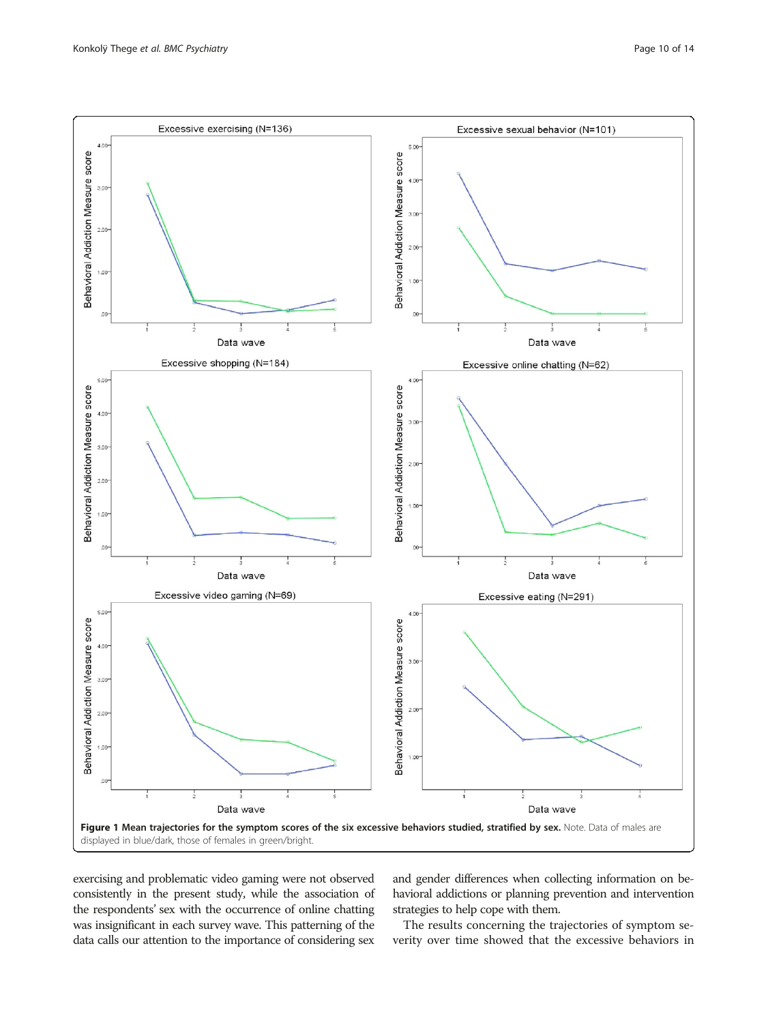

exercising and problematic video gaming were not observed consistently in the present study, while the association of the respondents' sex with the occurrence of online chatting was insignificant in each survey wave. This patterning of the data calls our attention to the importance of considering sex

and gender differences when collecting information on behavioral addictions or planning prevention and intervention strategies to help cope with them.

The results concerning the trajectories of symptom severity over time showed that the excessive behaviors in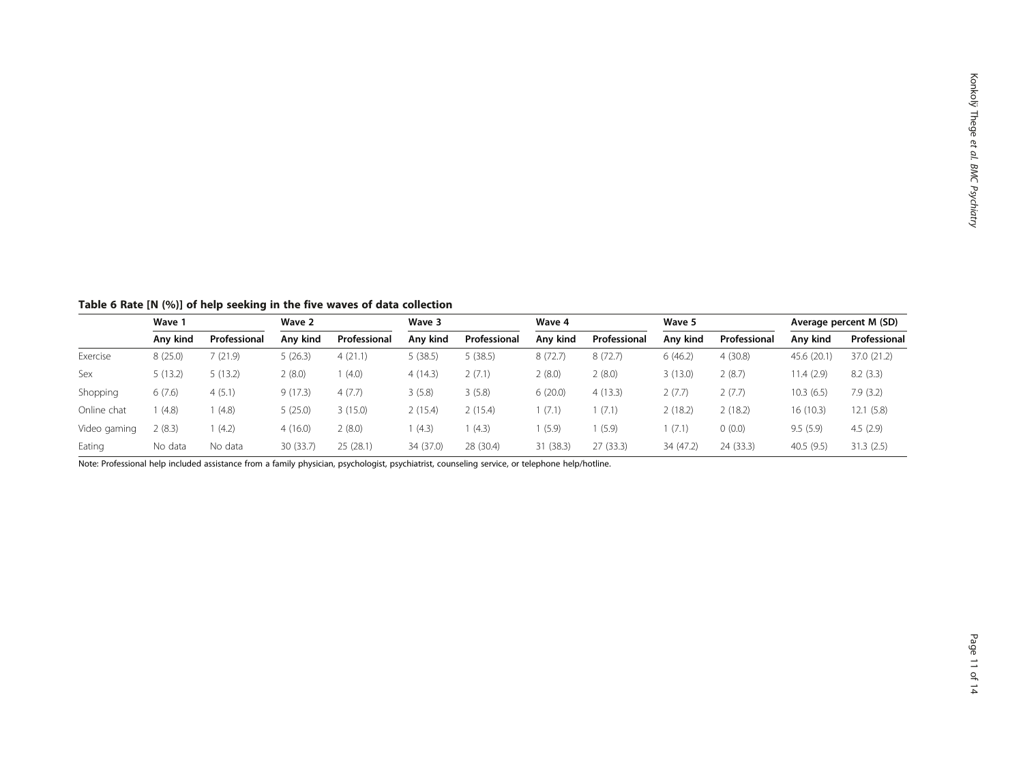Table 6 Rate [N (%)] of help seeking in the five waves of data collection

|              | Wave 1   |              | Wave 2    |              | Wave 3    |              |           | Wave 4       |           | Wave 5       |             | Average percent M (SD) |  |
|--------------|----------|--------------|-----------|--------------|-----------|--------------|-----------|--------------|-----------|--------------|-------------|------------------------|--|
|              | Anv kind | Professional | Anv kind  | Professional | Any kind  | Professional | Any kind  | Professional | Any kind  | Professional | Any kind    | Professional           |  |
| Exercise     | 8(25.0)  | (21.9)       | 5(26.3)   | 4(21.1)      | 5(38.5)   | 5(38.5)      | 8(72.7)   | 8(72.7)      | 6(46.2)   | 4(30.8)      | 45.6 (20.1) | 37.0 (21.2)            |  |
| Sex          | 5(13.2)  | 5(13.2)      | 2(8.0)    | (4.0)        | 4(14.3)   | 2(7.1)       | 2(8.0)    | 2(8.0)       | 3(13.0)   | 2(8.7)       | 11.4 (2.9)  | 8.2(3.3)               |  |
| Shopping     | 6(7.6)   | 4(5.1)       | 9(17.3)   | 4(7.7)       | 3(5.8)    | 3(5.8)       | 6(20.0)   | 4(13.3)      | 2(7.7)    | 2(7.7)       | 10.3(6.5)   | 7.9(3.2)               |  |
| Online chat  | (4.8)    | (4.8)        | 5(25.0)   | 3(15.0)      | 2(15.4)   | 2(15.4)      | (7.1)     | (7.1)        | 2(18.2)   | 2(18.2)      | 16 (10.3)   | 12.1(5.8)              |  |
| Video gaming | 2(8.3)   | (4.2)        | 4(16.0)   | 2(8.0)       | (4.3)     | (4.3)        | (5.9)     | (5.9)        | 1 (7.1)   | 0(0.0)       | 9.5(5.9)    | 4.5(2.9)               |  |
| Eating       | No data  | No data      | 30 (33.7) | 25(28.1)     | 34 (37.0) | 28 (30.4)    | 31 (38.3) | 27 (33.3)    | 34 (47.2) | 24 (33.3)    | 40.5(9.5)   | 31.3(2.5)              |  |

Note: Professional help included assistance from a family physician, psychologist, psychiatrist, counseling service, or telephone help/hotline.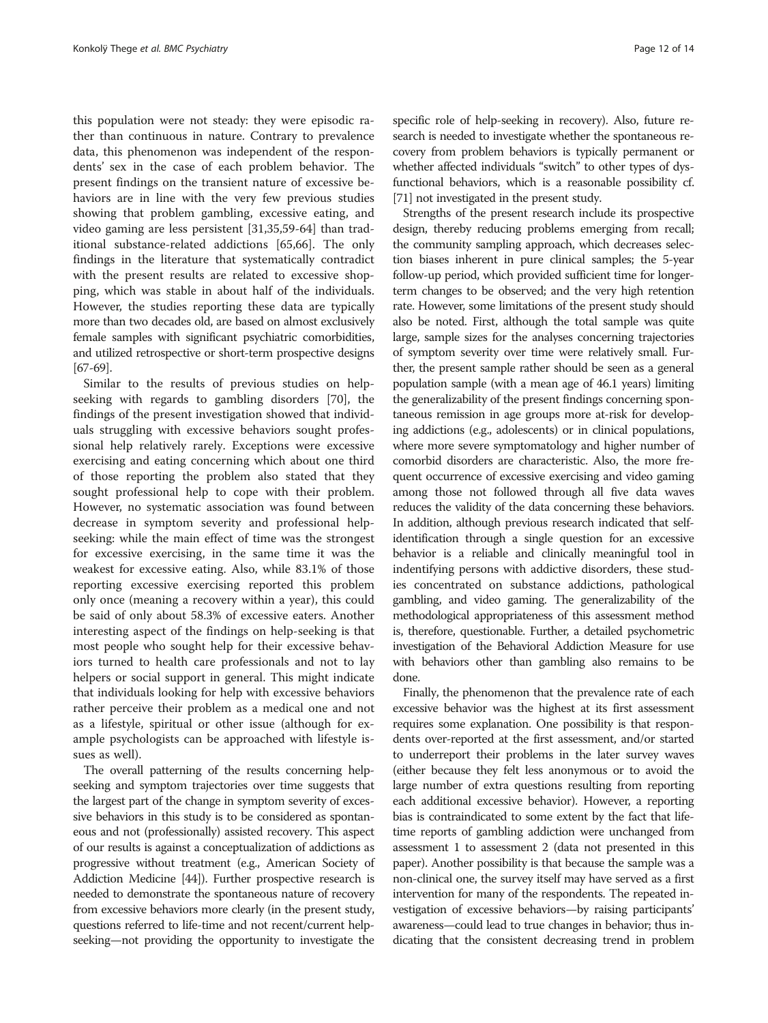this population were not steady: they were episodic rather than continuous in nature. Contrary to prevalence data, this phenomenon was independent of the respondents' sex in the case of each problem behavior. The present findings on the transient nature of excessive behaviors are in line with the very few previous studies showing that problem gambling, excessive eating, and video gaming are less persistent [31,35,59-64] than traditional substance-related addictions [65,66]. The only findings in the literature that systematically contradict with the present results are related to excessive shopping, which was stable in about half of the individuals. However, the studies reporting these data are typically more than two decades old, are based on almost exclusively female samples with significant psychiatric comorbidities, and utilized retrospective or short-term prospective designs [67-69].

Similar to the results of previous studies on helpseeking with regards to gambling disorders [70], the findings of the present investigation showed that individuals struggling with excessive behaviors sought professional help relatively rarely. Exceptions were excessive exercising and eating concerning which about one third of those reporting the problem also stated that they sought professional help to cope with their problem. However, no systematic association was found between decrease in symptom severity and professional helpseeking: while the main effect of time was the strongest for excessive exercising, in the same time it was the weakest for excessive eating. Also, while 83.1% of those reporting excessive exercising reported this problem only once (meaning a recovery within a year), this could be said of only about 58.3% of excessive eaters. Another interesting aspect of the findings on help-seeking is that most people who sought help for their excessive behaviors turned to health care professionals and not to lay helpers or social support in general. This might indicate that individuals looking for help with excessive behaviors rather perceive their problem as a medical one and not as a lifestyle, spiritual or other issue (although for example psychologists can be approached with lifestyle issues as well).

The overall patterning of the results concerning helpseeking and symptom trajectories over time suggests that the largest part of the change in symptom severity of excessive behaviors in this study is to be considered as spontaneous and not (professionally) assisted recovery. This aspect of our results is against a conceptualization of addictions as progressive without treatment (e.g., American Society of Addiction Medicine [44]). Further prospective research is needed to demonstrate the spontaneous nature of recovery from excessive behaviors more clearly (in the present study, questions referred to life-time and not recent/current helpseeking—not providing the opportunity to investigate the

specific role of help-seeking in recovery). Also, future research is needed to investigate whether the spontaneous recovery from problem behaviors is typically permanent or whether affected individuals "switch" to other types of dysfunctional behaviors, which is a reasonable possibility cf. [71] not investigated in the present study.

Strengths of the present research include its prospective design, thereby reducing problems emerging from recall; the community sampling approach, which decreases selection biases inherent in pure clinical samples; the 5-year follow-up period, which provided sufficient time for longerterm changes to be observed; and the very high retention rate. However, some limitations of the present study should also be noted. First, although the total sample was quite large, sample sizes for the analyses concerning trajectories of symptom severity over time were relatively small. Further, the present sample rather should be seen as a general population sample (with a mean age of 46.1 years) limiting the generalizability of the present findings concerning spontaneous remission in age groups more at-risk for developing addictions (e.g., adolescents) or in clinical populations, where more severe symptomatology and higher number of comorbid disorders are characteristic. Also, the more frequent occurrence of excessive exercising and video gaming among those not followed through all five data waves reduces the validity of the data concerning these behaviors. In addition, although previous research indicated that selfidentification through a single question for an excessive behavior is a reliable and clinically meaningful tool in indentifying persons with addictive disorders, these studies concentrated on substance addictions, pathological gambling, and video gaming. The generalizability of the methodological appropriateness of this assessment method is, therefore, questionable. Further, a detailed psychometric investigation of the Behavioral Addiction Measure for use with behaviors other than gambling also remains to be done.

Finally, the phenomenon that the prevalence rate of each excessive behavior was the highest at its first assessment requires some explanation. One possibility is that respondents over-reported at the first assessment, and/or started to underreport their problems in the later survey waves (either because they felt less anonymous or to avoid the large number of extra questions resulting from reporting each additional excessive behavior). However, a reporting bias is contraindicated to some extent by the fact that lifetime reports of gambling addiction were unchanged from assessment 1 to assessment 2 (data not presented in this paper). Another possibility is that because the sample was a non-clinical one, the survey itself may have served as a first intervention for many of the respondents. The repeated investigation of excessive behaviors—by raising participants' awareness—could lead to true changes in behavior; thus indicating that the consistent decreasing trend in problem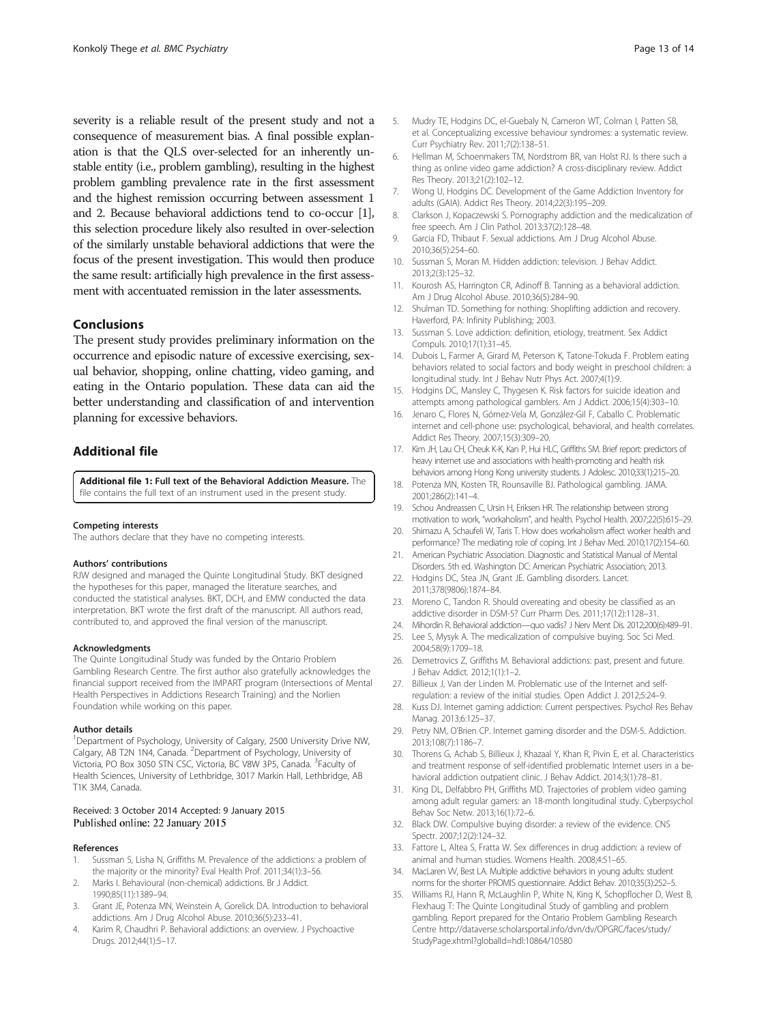severity is a reliable result of the present study and not a consequence of measurement bias. A final possible explanation is that the QLS over-selected for an inherently unstable entity (i.e., problem gambling), resulting in the highest problem gambling prevalence rate in the first assessment and the highest remission occurring between assessment 1 and 2. Because behavioral addictions tend to co-occur [1], this selection procedure likely also resulted in over-selection of the similarly unstable behavioral addictions that were the focus of the present investigation. This would then produce the same result: artificially high prevalence in the first assessment with accentuated remission in the later assessments.

## Conclusions

The present study provides preliminary information on the occurrence and episodic nature of excessive exercising, sexual behavior, shopping, online chatting, video gaming, and eating in the Ontario population. These data can aid the better understanding and classification of and intervention planning for excessive behaviors.

## Additional file

Additional file 1: Full text of the Behavioral Addiction Measure. The file contains the full text of an instrument used in the present study.

#### Competing interests

The authors declare that they have no competing interests.

#### Authors' contributions

RJW designed and managed the Quinte Longitudinal Study. BKT designed the hypotheses for this paper, managed the literature searches, and conducted the statistical analyses. BKT, DCH, and EMW conducted the data interpretation. BKT wrote the first draft of the manuscript. All authors read, contributed to, and approved the final version of the manuscript.

#### Acknowledgments

The Quinte Longitudinal Study was funded by the Ontario Problem Gambling Research Centre. The first author also gratefully acknowledges the financial support received from the IMPART program (Intersections of Mental Health Perspectives in Addictions Research Training) and the Norlien Foundation while working on this paper.

#### Author details

<sup>1</sup>Department of Psychology, University of Calgary, 2500 University Drive NW, Calgary, AB T2N 1N4, Canada. <sup>2</sup>Department of Psychology, University of Victoria, PO Box 3050 STN CSC, Victoria, BC V8W 3P5, Canada. <sup>3</sup>Faculty of Health Sciences, University of Lethbridge, 3017 Markin Hall, Lethbridge, AB T1K 3M4, Canada.

## Received: 3 October 2014 Accepted: 9 January 2015 Published online: 22 January 2015

#### References

- 1. Sussman S, Lisha N, Griffiths M. Prevalence of the addictions: a problem of the majority or the minority? Eval Health Prof. 2011;34(1):3–56.
- Marks I. Behavioural (non-chemical) addictions. Br J Addict. 1990;85(11):1389–94.
- Grant JE, Potenza MN, Weinstein A, Gorelick DA. Introduction to behavioral addictions. Am J Drug Alcohol Abuse. 2010;36(5):233–41.
- 4. Karim R, Chaudhri P. Behavioral addictions: an overview. J Psychoactive Drugs. 2012;44(1):5–17.
- 5. Mudry TE, Hodgins DC, el-Guebaly N, Cameron WT, Colman I, Patten SB, et al. Conceptualizing excessive behaviour syndromes: a systematic review. Curr Psychiatry Rev. 2011;7(2):138–51.
- 6. Hellman M, Schoenmakers TM, Nordstrom BR, van Holst RJ. Is there such a thing as online video game addiction? A cross-disciplinary review. Addict Res Theory. 2013;21(2):102–12.
- 7. Wong U, Hodgins DC. Development of the Game Addiction Inventory for adults (GAIA). Addict Res Theory. 2014;22(3):195–209.
- 8. Clarkson J, Kopaczewski S. Pornography addiction and the medicalization of free speech. Am J Clin Pathol. 2013;37(2):128–48.
- 9. Garcia FD, Thibaut F. Sexual addictions. Am J Drug Alcohol Abuse. 2010;36(5):254–60.
- 10. Sussman S, Moran M. Hidden addiction: television. J Behav Addict. 2013;2(3):125–32.
- 11. Kourosh AS, Harrington CR, Adinoff B. Tanning as a behavioral addiction. Am J Drug Alcohol Abuse. 2010;36(5):284–90.
- 12. Shulman TD. Something for nothing: Shoplifting addiction and recovery. Haverford, PA: Infinity Publishing; 2003.
- 13. Sussman S. Love addiction: definition, etiology, treatment. Sex Addict Compuls. 2010;17(1):31–45.
- 14. Dubois L, Farmer A, Girard M, Peterson K, Tatone-Tokuda F. Problem eating behaviors related to social factors and body weight in preschool children: a longitudinal study. Int J Behav Nutr Phys Act. 2007;4(1):9.
- 15. Hodgins DC, Mansley C, Thygesen K. Risk factors for suicide ideation and attempts among pathological gamblers. Am J Addict. 2006;15(4):303–10.
- 16. Jenaro C, Flores N, Gómez-Vela M, González-Gil F, Caballo C. Problematic internet and cell-phone use: psychological, behavioral, and health correlates. Addict Res Theory. 2007;15(3):309–20.
- 17. Kim JH, Lau CH, Cheuk K-K, Kan P, Hui HLC, Griffiths SM. Brief report: predictors of heavy internet use and associations with health-promoting and health risk behaviors among Hong Kong university students. J Adolesc. 2010;33(1):215–20.
- 18. Potenza MN, Kosten TR, Rounsaville BJ. Pathological gambling. JAMA. 2001;286(2):141–4.
- 19. Schou Andreassen C, Ursin H, Eriksen HR. The relationship between strong motivation to work, "workaholism", and health. Psychol Health. 2007;22(5):615–29.
- 20. Shimazu A, Schaufeli W, Taris T. How does workaholism affect worker health and performance? The mediating role of coping. Int J Behav Med. 2010;17(2):154–60.
- 21. American Psychiatric Association. Diagnostic and Statistical Manual of Mental Disorders. 5th ed. Washington DC: American Psychiatric Association; 2013.
- 22. Hodgins DC, Stea JN, Grant JE. Gambling disorders. Lancet. 2011;378(9806):1874–84.
- 23. Moreno C, Tandon R. Should overeating and obesity be classified as an addictive disorder in DSM-5? Curr Pharm Des. 2011;17(12):1128–31.
- 24. Mihordin R. Behavioral addiction—quo vadis? J Nerv Ment Dis. 2012;200(6):489–91.
- 25. Lee S, Mysyk A. The medicalization of compulsive buying. Soc Sci Med. 2004;58(9):1709–18.
- 26. Demetrovics Z, Griffiths M. Behavioral addictions: past, present and future. J Behav Addict. 2012;1(1):1–2.
- 27. Billieux J, Van der Linden M. Problematic use of the Internet and selfregulation: a review of the initial studies. Open Addict J. 2012;5:24–9.
- 28. Kuss DJ. Internet gaming addiction: Current perspectives. Psychol Res Behav Manag. 2013;6:125–37.
- 29. Petry NM, O'Brien CP. Internet gaming disorder and the DSM-5. Addiction. 2013;108(7):1186–7.
- 30. Thorens G, Achab S, Billieux J, Khazaal Y, Khan R, Pivin E, et al. Characteristics and treatment response of self-identified problematic Internet users in a behavioral addiction outpatient clinic. J Behav Addict. 2014;3(1):78–81.
- 31. King DL, Delfabbro PH, Griffiths MD. Trajectories of problem video gaming among adult regular gamers: an 18-month longitudinal study. Cyberpsychol Behav Soc Netw. 2013;16(1):72–6.
- 32. Black DW. Compulsive buying disorder: a review of the evidence. CNS Spectr. 2007;12(2):124–32.
- 33. Fattore L, Altea S, Fratta W. Sex differences in drug addiction: a review of animal and human studies. Womens Health. 2008;4:51–65.
- 34. MacLaren VV, Best LA. Multiple addictive behaviors in young adults: student norms for the shorter PROMIS questionnaire. Addict Behav. 2010;35(3):252–5.
- 35. Williams RJ, Hann R, McLaughlin P, White N, King K, Schopflocher D, West B, Flexhaug T: The Quinte Longitudinal Study of gambling and problem gambling. Report prepared for the Ontario Problem Gambling Research Centre http://dataverse.scholarsportal.info/dvn/dv/OPGRC/faces/study/ StudyPage.xhtml?globalId=hdl:10864/10580